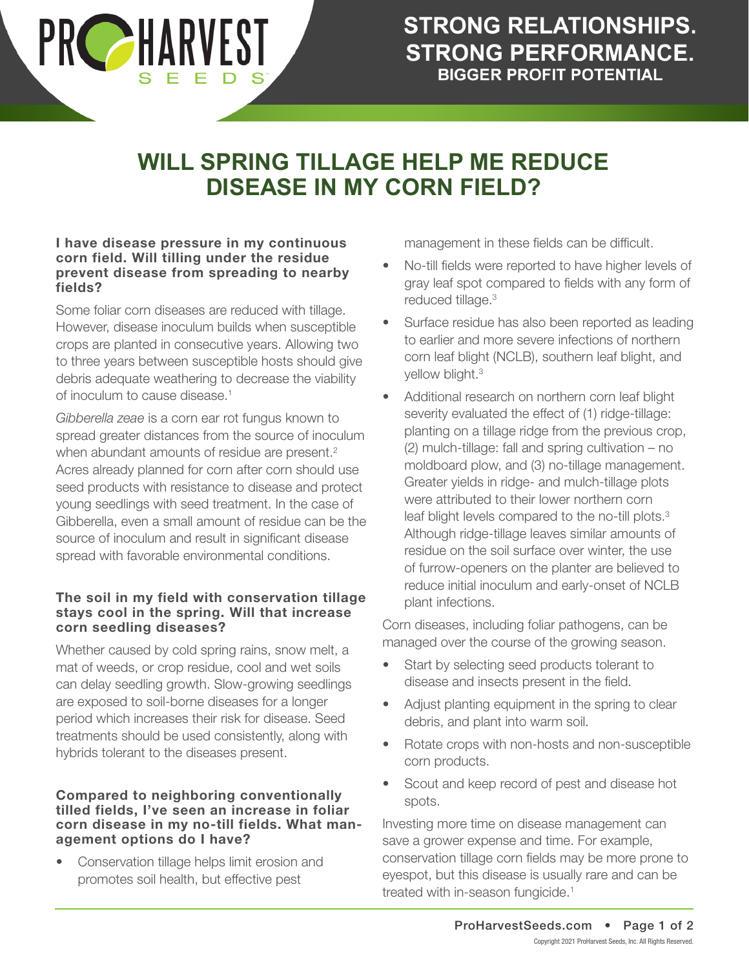

# **WILL SPRING TILLAGE HELP ME REDUCE DISEASE IN MY CORN FIELD?**

#### **I have disease pressure in my continuous corn field. Will tilling under the residue prevent disease from spreading to nearby fields?**

Some foliar corn diseases are reduced with tillage. However, disease inoculum builds when susceptible crops are planted in consecutive years. Allowing two to three years between susceptible hosts should give debris adequate weathering to decrease the viability of inoculum to cause disease.<sup>1</sup>

*Gibberella zeae* is a corn ear rot fungus known to spread greater distances from the source of inoculum when abundant amounts of residue are present.<sup>2</sup> Acres already planned for corn after corn should use seed products with resistance to disease and protect young seedlings with seed treatment. In the case of Gibberella, even a small amount of residue can be the source of inoculum and result in significant disease spread with favorable environmental conditions.

# **The soil in my field with conservation tillage stays cool in the spring. Will that increase corn seedling diseases?**

Whether caused by cold spring rains, snow melt, a mat of weeds, or crop residue, cool and wet soils can delay seedling growth. Slow-growing seedlings are exposed to soil-borne diseases for a longer period which increases their risk for disease. Seed treatments should be used consistently, along with hybrids tolerant to the diseases present.

### **Compared to neighboring conventionally tilled fields, I've seen an increase in foliar corn disease in my no-till fields. What management options do I have?**

• Conservation tillage helps limit erosion and promotes soil health, but effective pest

management in these fields can be difficult.

- No-till fields were reported to have higher levels of gray leaf spot compared to fields with any form of reduced tillage.<sup>3</sup>
- Surface residue has also been reported as leading to earlier and more severe infections of northern corn leaf blight (NCLB), southern leaf blight, and yellow blight.<sup>3</sup>
- Additional research on northern corn leaf blight severity evaluated the effect of (1) ridge-tillage: planting on a tillage ridge from the previous crop, (2) mulch-tillage: fall and spring cultivation – no moldboard plow, and (3) no-tillage management. Greater yields in ridge- and mulch-tillage plots were attributed to their lower northern corn leaf blight levels compared to the no-till plots.<sup>3</sup> Although ridge-tillage leaves similar amounts of residue on the soil surface over winter, the use of furrow-openers on the planter are believed to reduce initial inoculum and early-onset of NCLB plant infections.

Corn diseases, including foliar pathogens, can be managed over the course of the growing season.

- Start by selecting seed products tolerant to disease and insects present in the field.
- Adjust planting equipment in the spring to clear debris, and plant into warm soil.
- Rotate crops with non-hosts and non-susceptible corn products.
- Scout and keep record of pest and disease hot spots.

Investing more time on disease management can save a grower expense and time. For example, conservation tillage corn fields may be more prone to eyespot, but this disease is usually rare and can be treated with in-season fungicide.<sup>1</sup>